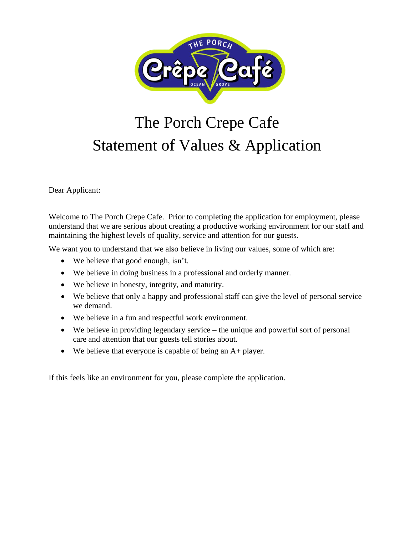

# The Porch Crepe Cafe Statement of Values & Application

Dear Applicant:

Welcome to The Porch Crepe Cafe. Prior to completing the application for employment, please understand that we are serious about creating a productive working environment for our staff and maintaining the highest levels of quality, service and attention for our guests.

We want you to understand that we also believe in living our values, some of which are:

- We believe that good enough, isn't.
- We believe in doing business in a professional and orderly manner.
- We believe in honesty, integrity, and maturity.
- We believe that only a happy and professional staff can give the level of personal service we demand.
- We believe in a fun and respectful work environment.
- We believe in providing legendary service the unique and powerful sort of personal care and attention that our guests tell stories about.
- We believe that everyone is capable of being an A+ player.

If this feels like an environment for you, please complete the application.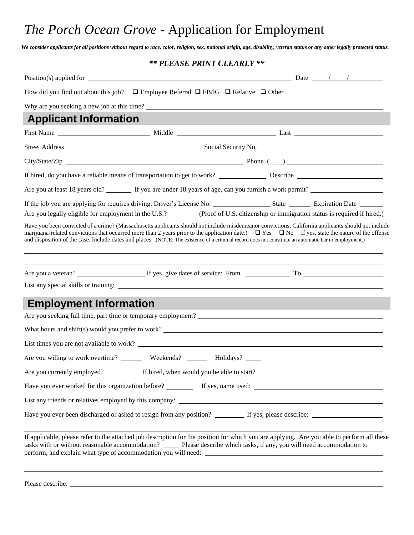## *The Porch Ocean Grove* - Application for Employment

*We consider applicants for all positions without regard to race, color, religion, sex, national origin, age, disability, veteran status or any other legally protected status.*

#### *\*\* PLEASE PRINT CLEARLY \*\**

| Why are you seeking a new job at this time?                                                                                                                                                                                                                                                                                                                                                                                                                               |                                            |  |  |
|---------------------------------------------------------------------------------------------------------------------------------------------------------------------------------------------------------------------------------------------------------------------------------------------------------------------------------------------------------------------------------------------------------------------------------------------------------------------------|--------------------------------------------|--|--|
| <b>Applicant Information</b>                                                                                                                                                                                                                                                                                                                                                                                                                                              |                                            |  |  |
|                                                                                                                                                                                                                                                                                                                                                                                                                                                                           |                                            |  |  |
|                                                                                                                                                                                                                                                                                                                                                                                                                                                                           |                                            |  |  |
|                                                                                                                                                                                                                                                                                                                                                                                                                                                                           |                                            |  |  |
|                                                                                                                                                                                                                                                                                                                                                                                                                                                                           |                                            |  |  |
| Are you at least 18 years old? If you are under 18 years of age, can you furnish a work permit?                                                                                                                                                                                                                                                                                                                                                                           |                                            |  |  |
|                                                                                                                                                                                                                                                                                                                                                                                                                                                                           |                                            |  |  |
| Are you legally eligible for employment in the U.S.? (Proof of U.S. citizenship or immigration status is required if hired.)                                                                                                                                                                                                                                                                                                                                              |                                            |  |  |
| Have you been convicted of a crime? (Massachusetts applicants should not include misdemeanor convictions; California applicants should not include<br>marijuana-related convictions that occurred more than 2 years prior to the application date.) $\Box$ Yes $\Box$ No If yes, state the nature of the offense<br>and disposition of the case. Include dates and places. (NOTE: The existence of a criminal record does not constitute an automatic bar to employment.) |                                            |  |  |
|                                                                                                                                                                                                                                                                                                                                                                                                                                                                           |                                            |  |  |
| <b>Employment Information</b>                                                                                                                                                                                                                                                                                                                                                                                                                                             |                                            |  |  |
|                                                                                                                                                                                                                                                                                                                                                                                                                                                                           |                                            |  |  |
| What hours and shift(s) would you prefer to work?                                                                                                                                                                                                                                                                                                                                                                                                                         |                                            |  |  |
| List times you are not available to work?                                                                                                                                                                                                                                                                                                                                                                                                                                 |                                            |  |  |
| Are you willing to work overtime? __________ Weekends? _________ Holidays? ______                                                                                                                                                                                                                                                                                                                                                                                         |                                            |  |  |
| Are you currently employed?                                                                                                                                                                                                                                                                                                                                                                                                                                               | If hired, when would you be able to start? |  |  |
|                                                                                                                                                                                                                                                                                                                                                                                                                                                                           |                                            |  |  |
|                                                                                                                                                                                                                                                                                                                                                                                                                                                                           |                                            |  |  |
|                                                                                                                                                                                                                                                                                                                                                                                                                                                                           |                                            |  |  |
| If applicable, please refer to the attached job description for the position for which you are applying. Are you able to perform all these<br>tasks with or without reasonable accommodation? _______ Please describe which tasks, if any, you will need accommodation to                                                                                                                                                                                                 |                                            |  |  |

Please describe: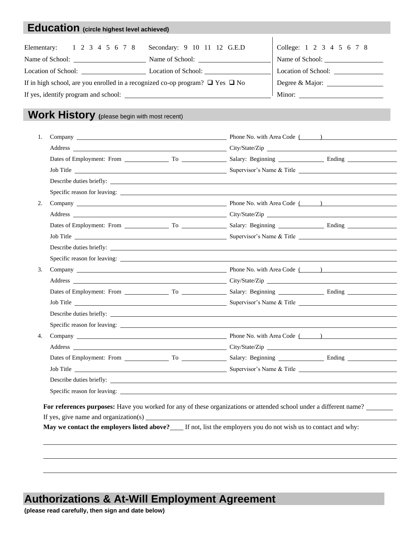### **Education (circle highest level achieved)**

| Elementary: 1 2 3 4 5 6 7 8 Secondary: 9 10 11 12 G.E.D                                 |                     | College: 1 2 3 4 5 6 7 8 |  |
|-----------------------------------------------------------------------------------------|---------------------|--------------------------|--|
| Name of School:                                                                         | Name of School:     | Name of School:          |  |
| Location of School:                                                                     | Location of School: |                          |  |
| If in high school, are you enrolled in a recognized co-op program? $\Box$ Yes $\Box$ No |                     |                          |  |
|                                                                                         | Minor:              |                          |  |
|                                                                                         |                     |                          |  |

#### **Work History (**please begin with most recent)

| 1. |  |                                                                                                                                                                                                                                |
|----|--|--------------------------------------------------------------------------------------------------------------------------------------------------------------------------------------------------------------------------------|
|    |  |                                                                                                                                                                                                                                |
|    |  |                                                                                                                                                                                                                                |
|    |  |                                                                                                                                                                                                                                |
|    |  |                                                                                                                                                                                                                                |
|    |  |                                                                                                                                                                                                                                |
| 2. |  |                                                                                                                                                                                                                                |
|    |  |                                                                                                                                                                                                                                |
|    |  |                                                                                                                                                                                                                                |
|    |  | Job Title Communication of the Communication of the Communication of the Communication of the Communication of the Communication of the Communication of the Communication of the Communication of the Communication of the Co |
|    |  |                                                                                                                                                                                                                                |
|    |  |                                                                                                                                                                                                                                |
| 3. |  |                                                                                                                                                                                                                                |
|    |  |                                                                                                                                                                                                                                |
|    |  |                                                                                                                                                                                                                                |
|    |  |                                                                                                                                                                                                                                |
|    |  |                                                                                                                                                                                                                                |
|    |  |                                                                                                                                                                                                                                |
| 4. |  |                                                                                                                                                                                                                                |
|    |  |                                                                                                                                                                                                                                |
|    |  | Dates of Employment: From To To Salary: Beginning Ending Ending                                                                                                                                                                |
|    |  |                                                                                                                                                                                                                                |
|    |  |                                                                                                                                                                                                                                |
|    |  |                                                                                                                                                                                                                                |
|    |  | For references purposes: Have you worked for any of these organizations or attended school under a different name?                                                                                                             |
|    |  | If yes, give name and organization(s) example to the state of the state of the state of the state of the state of the state of the state of the state of the state of the state of the state of the state of the state of the  |
|    |  | May we contact the employers listed above? ____ If not, list the employers you do not wish us to contact and why:                                                                                                              |
|    |  |                                                                                                                                                                                                                                |

### **Authorizations & At-Will Employment Agreement**

**(please read carefully, then sign and date below)**